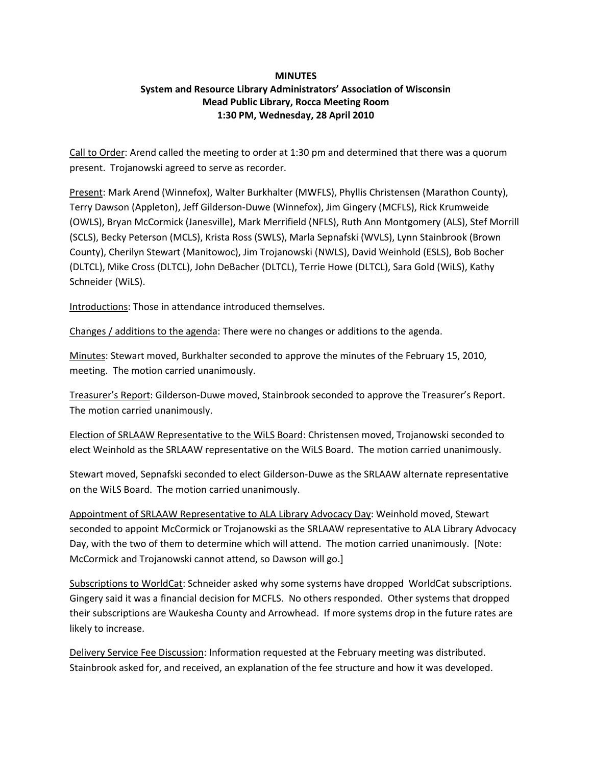## **MINUTES System and Resource Library Administrators' Association of Wisconsin Mead Public Library, Rocca Meeting Room 1:30 PM, Wednesday, 28 April 2010**

Call to Order: Arend called the meeting to order at 1:30 pm and determined that there was a quorum present. Trojanowski agreed to serve as recorder.

Present: Mark Arend (Winnefox), Walter Burkhalter (MWFLS), Phyllis Christensen (Marathon County), Terry Dawson (Appleton), Jeff Gilderson-Duwe (Winnefox), Jim Gingery (MCFLS), Rick Krumweide (OWLS), Bryan McCormick (Janesville), Mark Merrifield (NFLS), Ruth Ann Montgomery (ALS), Stef Morrill (SCLS), Becky Peterson (MCLS), Krista Ross (SWLS), Marla Sepnafski (WVLS), Lynn Stainbrook (Brown County), Cherilyn Stewart (Manitowoc), Jim Trojanowski (NWLS), David Weinhold (ESLS), Bob Bocher (DLTCL), Mike Cross (DLTCL), John DeBacher (DLTCL), Terrie Howe (DLTCL), Sara Gold (WiLS), Kathy Schneider (WiLS).

Introductions: Those in attendance introduced themselves.

Changes / additions to the agenda: There were no changes or additions to the agenda.

Minutes: Stewart moved, Burkhalter seconded to approve the minutes of the February 15, 2010, meeting. The motion carried unanimously.

Treasurer's Report: Gilderson-Duwe moved, Stainbrook seconded to approve the Treasurer's Report. The motion carried unanimously.

Election of SRLAAW Representative to the WiLS Board: Christensen moved, Trojanowski seconded to elect Weinhold as the SRLAAW representative on the WiLS Board. The motion carried unanimously.

Stewart moved, Sepnafski seconded to elect Gilderson-Duwe as the SRLAAW alternate representative on the WiLS Board. The motion carried unanimously.

Appointment of SRLAAW Representative to ALA Library Advocacy Day: Weinhold moved, Stewart seconded to appoint McCormick or Trojanowski as the SRLAAW representative to ALA Library Advocacy Day, with the two of them to determine which will attend. The motion carried unanimously. [Note: McCormick and Trojanowski cannot attend, so Dawson will go.]

Subscriptions to WorldCat: Schneider asked why some systems have dropped WorldCat subscriptions. Gingery said it was a financial decision for MCFLS. No others responded. Other systems that dropped their subscriptions are Waukesha County and Arrowhead. If more systems drop in the future rates are likely to increase.

Delivery Service Fee Discussion: Information requested at the February meeting was distributed. Stainbrook asked for, and received, an explanation of the fee structure and how it was developed.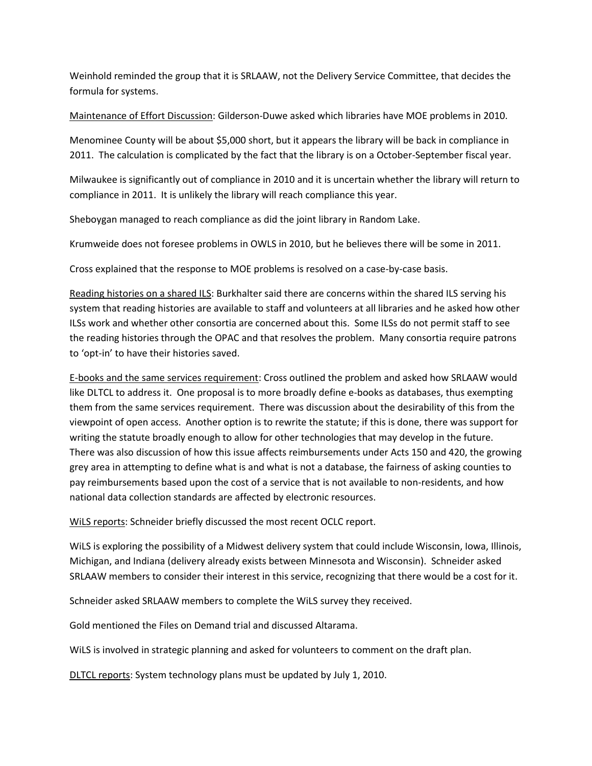Weinhold reminded the group that it is SRLAAW, not the Delivery Service Committee, that decides the formula for systems.

Maintenance of Effort Discussion: Gilderson-Duwe asked which libraries have MOE problems in 2010.

Menominee County will be about \$5,000 short, but it appears the library will be back in compliance in 2011. The calculation is complicated by the fact that the library is on a October-September fiscal year.

Milwaukee is significantly out of compliance in 2010 and it is uncertain whether the library will return to compliance in 2011. It is unlikely the library will reach compliance this year.

Sheboygan managed to reach compliance as did the joint library in Random Lake.

Krumweide does not foresee problems in OWLS in 2010, but he believes there will be some in 2011.

Cross explained that the response to MOE problems is resolved on a case-by-case basis.

Reading histories on a shared ILS: Burkhalter said there are concerns within the shared ILS serving his system that reading histories are available to staff and volunteers at all libraries and he asked how other ILSs work and whether other consortia are concerned about this. Some ILSs do not permit staff to see the reading histories through the OPAC and that resolves the problem. Many consortia require patrons to 'opt-in' to have their histories saved.

E-books and the same services requirement: Cross outlined the problem and asked how SRLAAW would like DLTCL to address it. One proposal is to more broadly define e-books as databases, thus exempting them from the same services requirement. There was discussion about the desirability of this from the viewpoint of open access. Another option is to rewrite the statute; if this is done, there was support for writing the statute broadly enough to allow for other technologies that may develop in the future. There was also discussion of how this issue affects reimbursements under Acts 150 and 420, the growing grey area in attempting to define what is and what is not a database, the fairness of asking counties to pay reimbursements based upon the cost of a service that is not available to non-residents, and how national data collection standards are affected by electronic resources.

WiLS reports: Schneider briefly discussed the most recent OCLC report.

WiLS is exploring the possibility of a Midwest delivery system that could include Wisconsin, Iowa, Illinois, Michigan, and Indiana (delivery already exists between Minnesota and Wisconsin). Schneider asked SRLAAW members to consider their interest in this service, recognizing that there would be a cost for it.

Schneider asked SRLAAW members to complete the WiLS survey they received.

Gold mentioned the Files on Demand trial and discussed Altarama.

WiLS is involved in strategic planning and asked for volunteers to comment on the draft plan.

DLTCL reports: System technology plans must be updated by July 1, 2010.